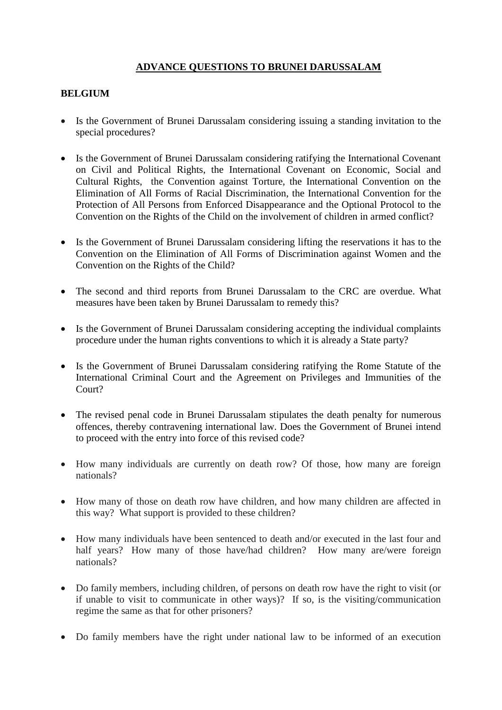# **ADVANCE QUESTIONS TO BRUNEI DARUSSALAM**

#### **BELGIUM**

- Is the Government of Brunei Darussalam considering issuing a standing invitation to the special procedures?
- Is the Government of Brunei Darussalam considering ratifying the International Covenant on Civil and Political Rights, the International Covenant on Economic, Social and Cultural Rights, the Convention against Torture, the International Convention on the Elimination of All Forms of Racial Discrimination, the International Convention for the Protection of All Persons from Enforced Disappearance and the Optional Protocol to the Convention on the Rights of the Child on the involvement of children in armed conflict?
- Is the Government of Brunei Darussalam considering lifting the reservations it has to the Convention on the Elimination of All Forms of Discrimination against Women and the Convention on the Rights of the Child?
- The second and third reports from Brunei Darussalam to the CRC are overdue. What measures have been taken by Brunei Darussalam to remedy this?
- Is the Government of Brunei Darussalam considering accepting the individual complaints procedure under the human rights conventions to which it is already a State party?
- Is the Government of Brunei Darussalam considering ratifying the Rome Statute of the International Criminal Court and the Agreement on Privileges and Immunities of the Court?
- The revised penal code in Brunei Darussalam stipulates the death penalty for numerous offences, thereby contravening international law. Does the Government of Brunei intend to proceed with the entry into force of this revised code?
- How many individuals are currently on death row? Of those, how many are foreign nationals?
- How many of those on death row have children, and how many children are affected in this way? What support is provided to these children?
- How many individuals have been sentenced to death and/or executed in the last four and half years? How many of those have/had children? How many are/were foreign nationals?
- Do family members, including children, of persons on death row have the right to visit (or if unable to visit to communicate in other ways)? If so, is the visiting/communication regime the same as that for other prisoners?
- Do family members have the right under national law to be informed of an execution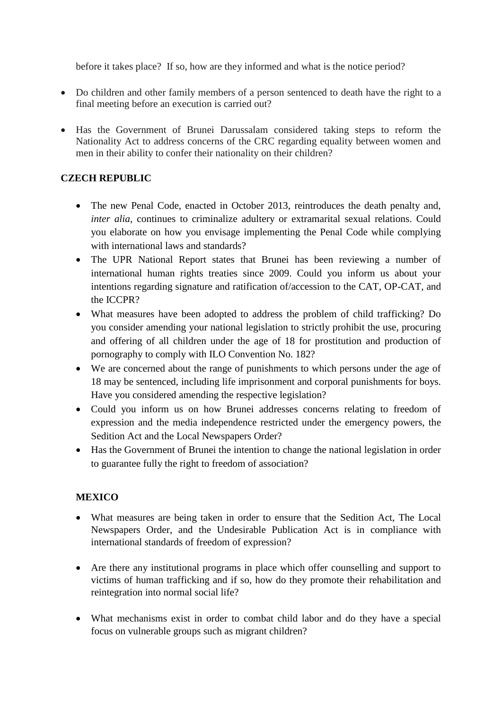before it takes place? If so, how are they informed and what is the notice period?

- Do children and other family members of a person sentenced to death have the right to a final meeting before an execution is carried out?
- Has the Government of Brunei Darussalam considered taking steps to reform the Nationality Act to address concerns of the CRC regarding equality between women and men in their ability to confer their nationality on their children?

#### **CZECH REPUBLIC**

- The new Penal Code, enacted in October 2013, reintroduces the death penalty and, *inter alia*, continues to criminalize adultery or extramarital sexual relations. Could you elaborate on how you envisage implementing the Penal Code while complying with international laws and standards?
- The UPR National Report states that Brunei has been reviewing a number of international human rights treaties since 2009. Could you inform us about your intentions regarding signature and ratification of/accession to the CAT, OP-CAT, and the ICCPR?
- What measures have been adopted to address the problem of child trafficking? Do you consider amending your national legislation to strictly prohibit the use, procuring and offering of all children under the age of 18 for prostitution and production of pornography to comply with ILO Convention No. 182?
- We are concerned about the range of punishments to which persons under the age of 18 may be sentenced, including life imprisonment and corporal punishments for boys. Have you considered amending the respective legislation?
- Could you inform us on how Brunei addresses concerns relating to freedom of expression and the media independence restricted under the emergency powers, the Sedition Act and the Local Newspapers Order?
- Has the Government of Brunei the intention to change the national legislation in order to guarantee fully the right to freedom of association?

## **MEXICO**

- What measures are being taken in order to ensure that the Sedition Act, The Local Newspapers Order, and the Undesirable Publication Act is in compliance with international standards of freedom of expression?
- Are there any institutional programs in place which offer counselling and support to victims of human trafficking and if so, how do they promote their rehabilitation and reintegration into normal social life?
- What mechanisms exist in order to combat child labor and do they have a special focus on vulnerable groups such as migrant children?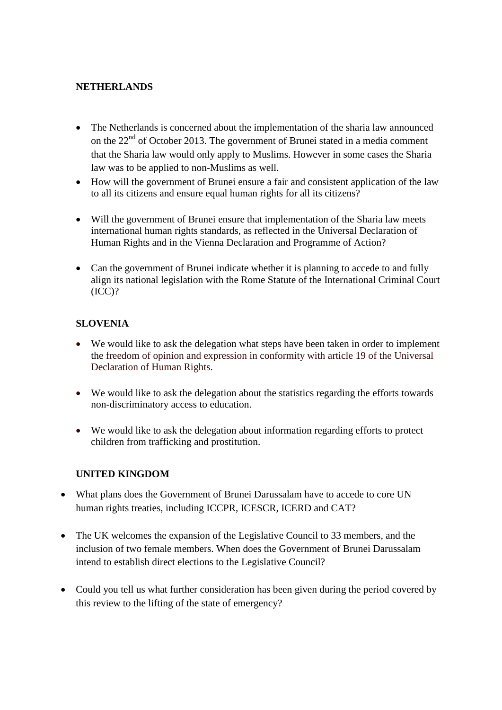## **NETHERLANDS**

- The Netherlands is concerned about the implementation of the sharia law announced on the  $22<sup>nd</sup>$  of October 2013. The government of Brunei stated in a media comment that the Sharia law would only apply to Muslims. However in some cases the Sharia law was to be applied to non-Muslims as well.
- How will the government of Brunei ensure a fair and consistent application of the law to all its citizens and ensure equal human rights for all its citizens?
- Will the government of Brunei ensure that implementation of the Sharia law meets international human rights standards, as reflected in the Universal Declaration of Human Rights and in the Vienna Declaration and Programme of Action?
- Can the government of Brunei indicate whether it is planning to accede to and fully align its national legislation with the Rome Statute of the International Criminal Court (ICC)?

## **SLOVENIA**

- We would like to ask the delegation what steps have been taken in order to implement the freedom of opinion and expression in conformity with article 19 of the Universal Declaration of Human Rights.
- We would like to ask the delegation about the statistics regarding the efforts towards non-discriminatory access to education.
- We would like to ask the delegation about information regarding efforts to protect children from trafficking and prostitution.

#### **UNITED KINGDOM**

- What plans does the Government of Brunei Darussalam have to accede to core UN human rights treaties, including ICCPR, ICESCR, ICERD and CAT?
- The UK welcomes the expansion of the Legislative Council to 33 members, and the inclusion of two female members. When does the Government of Brunei Darussalam intend to establish direct elections to the Legislative Council?
- Could you tell us what further consideration has been given during the period covered by this review to the lifting of the state of emergency?